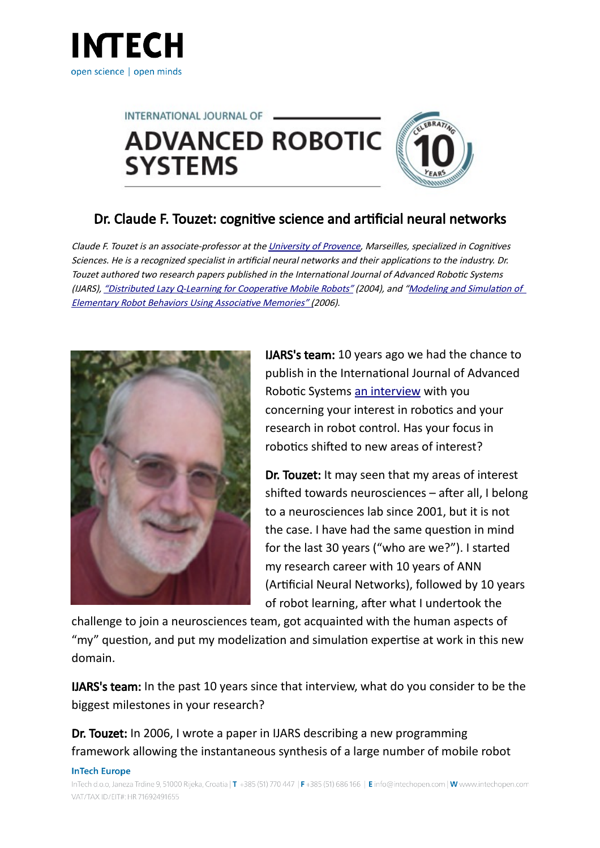



## Dr. Claude F. Touzet: cognitive science and artificial neural networks

Claude F. Touzet is an associate-professor at the [University of Provence,](http://edu.univ-amu.fr/en) Marseilles, specialized in Cognitives Sciences. He is a recognized specialist in artificial neural networks and their applications to the industry. Dr. Touzet authored two research papers published in the International Journal of Advanced Robotic Systems (IJARS), ["Distributed Lazy Q-Learning for Cooperative Mobile Robots"](http://www.intechopen.com/journals/international_journal_of_advanced_robotic_systems/distributed_lazy_q-learning_for_cooperative_mobile_robots) (2004), and ["Modeling and Simulation of](http://www.intechopen.com/journals/international_journal_of_advanced_robotic_systems/modeling_and_simulation_of_elementary_robot_behaviors_using_associative_memories)  [Elementary Robot Behaviors Using Associative Memories" \(](http://www.intechopen.com/journals/international_journal_of_advanced_robotic_systems/modeling_and_simulation_of_elementary_robot_behaviors_using_associative_memories)2006).



IJARS's team: 10 years ago we had the chance to publish in the International Journal of Advanced Robotic Systems [an interview](http://www.ars-journal.com/ars/Interview/Interview+with+Claude+Touzet.htm) with you concerning your interest in robotics and your research in robot control. Has your focus in robotics shifted to new areas of interest?

Dr. Touzet: It may seen that my areas of interest shifted towards neurosciences – after all, I belong to a neurosciences lab since 2001, but it is not the case. I have had the same question in mind for the last 30 years ("who are we?"). I started my research career with 10 years of ANN (Artificial Neural Networks), followed by 10 years of robot learning, after what I undertook the

challenge to join a neurosciences team, got acquainted with the human aspects of "my" question, and put my modelization and simulation expertise at work in this new domain.

IJARS's team: In the past 10 years since that interview, what do you consider to be the biggest milestones in your research?

Dr. Touzet: In 2006, I wrote a paper in IJARS describing a new programming framework allowing the instantaneous synthesis of a large number of mobile robot

## **InTech Europe**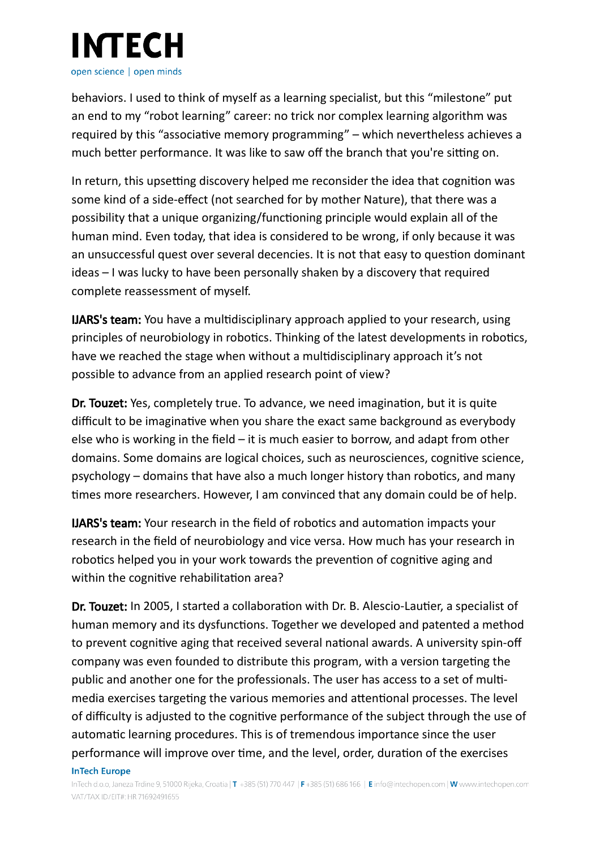

behaviors. I used to think of myself as a learning specialist, but this "milestone" put an end to my "robot learning" career: no trick nor complex learning algorithm was required by this "associative memory programming" – which nevertheless achieves a much better performance. It was like to saw off the branch that you're sitting on.

In return, this upsetting discovery helped me reconsider the idea that cognition was some kind of a side-effect (not searched for by mother Nature), that there was a possibility that a unique organizing/functioning principle would explain all of the human mind. Even today, that idea is considered to be wrong, if only because it was an unsuccessful quest over several decencies. It is not that easy to question dominant ideas – I was lucky to have been personally shaken by a discovery that required complete reassessment of myself.

IJARS's team: You have a multidisciplinary approach applied to your research, using principles of neurobiology in robotics. Thinking of the latest developments in robotics, have we reached the stage when without a multidisciplinary approach it's not possible to advance from an applied research point of view?

Dr. Touzet: Yes, completely true. To advance, we need imagination, but it is quite difficult to be imaginative when you share the exact same background as everybody else who is working in the field – it is much easier to borrow, and adapt from other domains. Some domains are logical choices, such as neurosciences, cognitive science, psychology – domains that have also a much longer history than robotics, and many times more researchers. However, I am convinced that any domain could be of help.

IJARS's team: Your research in the field of robotics and automation impacts your research in the field of neurobiology and vice versa. How much has your research in robotics helped you in your work towards the prevention of cognitive aging and within the cognitive rehabilitation area?

Dr. Touzet: In 2005, I started a collaboration with Dr. B. Alescio-Lautier, a specialist of human memory and its dysfunctions. Together we developed and patented a method to prevent cognitive aging that received several national awards. A university spin-off company was even founded to distribute this program, with a version targeting the public and another one for the professionals. The user has access to a set of multimedia exercises targeting the various memories and attentional processes. The level of difficulty is adjusted to the cognitive performance of the subject through the use of automatic learning procedures. This is of tremendous importance since the user performance will improve over time, and the level, order, duration of the exercises **InTech Europe**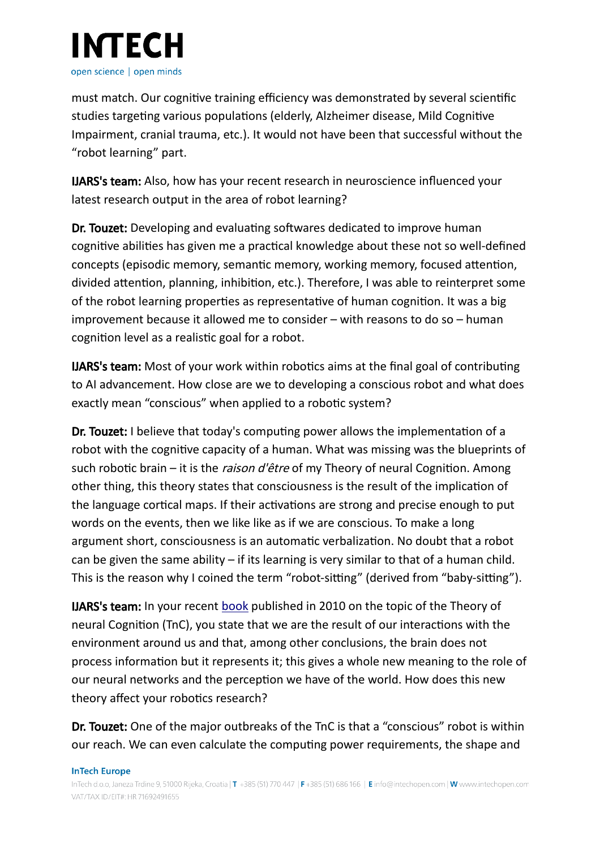

must match. Our cognitive training efficiency was demonstrated by several scientific studies targeting various populations (elderly, Alzheimer disease, Mild Cognitive Impairment, cranial trauma, etc.). It would not have been that successful without the "robot learning" part.

IJARS's team: Also, how has your recent research in neuroscience influenced your latest research output in the area of robot learning?

Dr. Touzet: Developing and evaluating softwares dedicated to improve human cognitive abilities has given me a practical knowledge about these not so well-defined concepts (episodic memory, semantic memory, working memory, focused attention, divided attention, planning, inhibition, etc.). Therefore, I was able to reinterpret some of the robot learning properties as representative of human cognition. It was a big improvement because it allowed me to consider – with reasons to do so – human cognition level as a realistic goal for a robot.

IJARS's team: Most of your work within robotics aims at the final goal of contributing to AI advancement. How close are we to developing a conscious robot and what does exactly mean "conscious" when applied to a robotic system?

Dr. Touzet: I believe that today's computing power allows the implementation of a robot with the cognitive capacity of a human. What was missing was the blueprints of such robotic brain – it is the *raison d'être* of my Theory of neural Cognition. Among other thing, this theory states that consciousness is the result of the implication of the language cortical maps. If their activations are strong and precise enough to put words on the events, then we like like as if we are conscious. To make a long argument short, consciousness is an automatic verbalization. No doubt that a robot can be given the same ability  $-$  if its learning is very similar to that of a human child. This is the reason why I coined the term "robot-sitting" (derived from "baby-sitting").

**IJARS's team:** In your recent [book](http://www.amazon.fr/Conscience-Intelligence-Libre-arbitre-neuronale-Cognition/dp/2919411004) published in 2010 on the topic of the Theory of neural Cognition (TnC), you state that we are the result of our interactions with the environment around us and that, among other conclusions, the brain does not process information but it represents it; this gives a whole new meaning to the role of our neural networks and the perception we have of the world. How does this new theory affect your robotics research?

Dr. Touzet: One of the major outbreaks of the TnC is that a "conscious" robot is within our reach. We can even calculate the computing power requirements, the shape and

## **InTech Europe**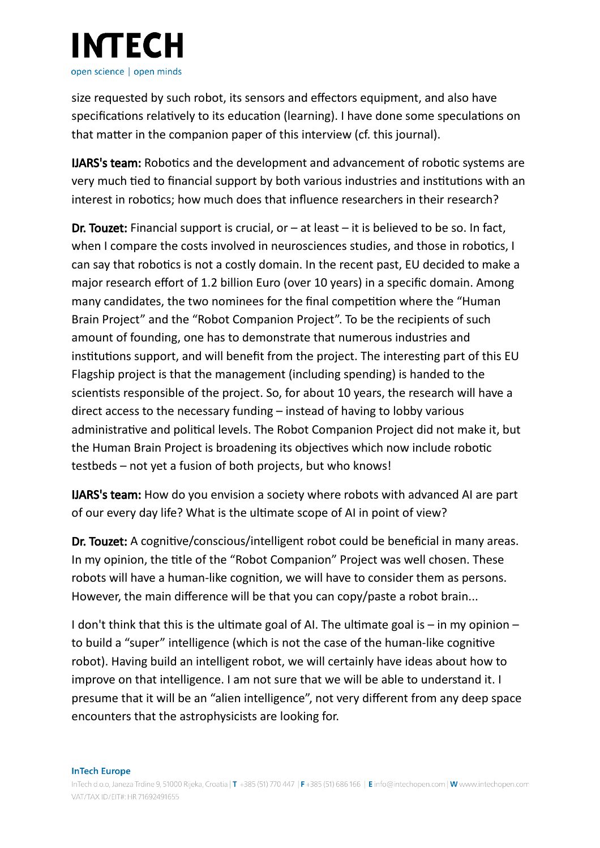

size requested by such robot, its sensors and effectors equipment, and also have specifications relatively to its education (learning). I have done some speculations on that matter in the companion paper of this interview (cf. this journal).

IJARS's team: Robotics and the development and advancement of robotic systems are very much tied to financial support by both various industries and institutions with an interest in robotics; how much does that influence researchers in their research?

**Dr. Touzet:** Financial support is crucial, or  $-$  at least  $-$  it is believed to be so. In fact, when I compare the costs involved in neurosciences studies, and those in robotics, I can say that robotics is not a costly domain. In the recent past, EU decided to make a major research effort of 1.2 billion Euro (over 10 years) in a specific domain. Among many candidates, the two nominees for the final competition where the "Human Brain Project" and the "Robot Companion Project". To be the recipients of such amount of founding, one has to demonstrate that numerous industries and institutions support, and will benefit from the project. The interesting part of this EU Flagship project is that the management (including spending) is handed to the scientists responsible of the project. So, for about 10 years, the research will have a direct access to the necessary funding – instead of having to lobby various administrative and political levels. The Robot Companion Project did not make it, but the Human Brain Project is broadening its objectives which now include robotic testbeds – not yet a fusion of both projects, but who knows!

IJARS's team: How do you envision a society where robots with advanced AI are part of our every day life? What is the ultimate scope of AI in point of view?

Dr. Touzet: A cognitive/conscious/intelligent robot could be beneficial in many areas. In my opinion, the title of the "Robot Companion" Project was well chosen. These robots will have a human-like cognition, we will have to consider them as persons. However, the main difference will be that you can copy/paste a robot brain...

I don't think that this is the ultimate goal of AI. The ultimate goal is  $-$  in my opinion  $$ to build a "super" intelligence (which is not the case of the human-like cognitive robot). Having build an intelligent robot, we will certainly have ideas about how to improve on that intelligence. I am not sure that we will be able to understand it. I presume that it will be an "alien intelligence", not very different from any deep space encounters that the astrophysicists are looking for.

**InTech Europe**